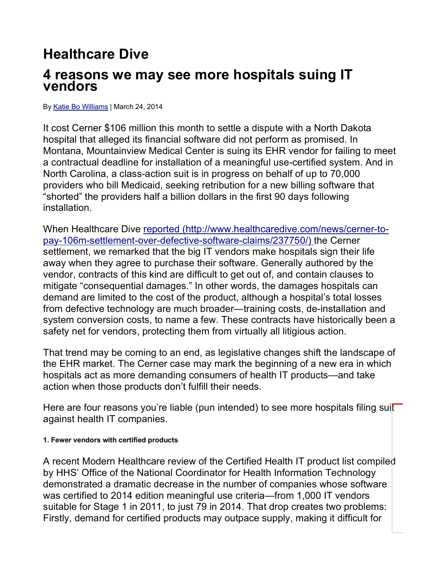## **Healthcare Dive**

## **4 reasons we may see more hospitals suing IT vendors**

By Katie Bo Williams | March 24, 2014

It cost Cerner \$106 million this month to settle a dispute with a North Dakota hospital that alleged its financial software did not perform as promised. In Montana, Mountainview Medical Center is suing its EHR vendor for failing to meet a contractual deadline for installation of a meaningful use-certified system. And in North Carolina, a class-action suit is in progress on behalf of up to 70,000 providers who bill Medicaid, seeking retribution for a new billing software that "shorted" the providers half a billion dollars in the first 90 days following installation.

When Healthcare Dive reported (http://www.healthcaredive.com/news/cerner-topay-106m-settlement-over-defective-software-claims/237750/) the Cerner settlement, we remarked that the big IT vendors make hospitals sign their life away when they agree to purchase their software. Generally authored by the vendor, contracts of this kind are difficult to get out of, and contain clauses to mitigate "consequential damages." In other words, the damages hospitals can demand are limited to the cost of the product, although a hospital's total losses from defective technology are much broader—training costs, de-installation and system conversion costs, to name a few. These contracts have historically been a safety net for vendors, protecting them from virtually all litigious action.

That trend may be coming to an end, as legislative changes shift the landscape of the EHR market. The Cerner case may mark the beginning of a new era in which hospitals act as more demanding consumers of health IT products—and take action when those products don't fulfill their needs.

Here are four reasons you're liable (pun intended) to see more hospitals filing suit against health IT companies.

## **1. Fewer vendors with certified products**

A recent Modern Healthcare review of the Certified Health IT product list compiled by HHS' Office of the National Coordinator for Health Information Technology demonstrated a dramatic decrease in the number of companies whose software was certified to 2014 edition meaningful use criteria—from 1,000 IT vendors suitable for Stage 1 in 2011, to just 79 in 2014. That drop creates two problems: Firstly, demand for certified products may outpace supply, making it difficult for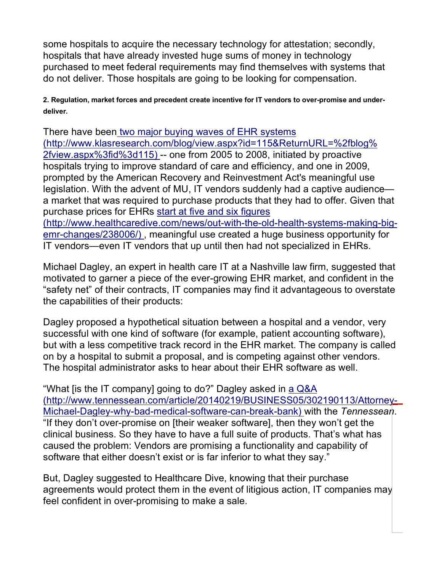some hospitals to acquire the necessary technology for attestation; secondly, hospitals that have already invested huge sums of money in technology purchased to meet federal requirements may find themselves with systems that do not deliver. Those hospitals are going to be looking for compensation.

**2. Regulation, market forces and precedent create incentive for IT vendors to over-promise and underdeliver.**

There have been two major buying waves of EHR systems (http://www.klasresearch.com/blog/view.aspx?id=115&ReturnURL=%2fblog% 2fview.aspx%3fid%3d115) -- one from 2005 to 2008, initiated by proactive hospitals trying to improve standard of care and efficiency, and one in 2009, prompted by the American Recovery and Reinvestment Act's meaningful use legislation. With the advent of MU, IT vendors suddenly had a captive audience a market that was required to purchase products that they had to offer. Given that purchase prices for EHRs start at five and six figures (http://www.healthcaredive.com/news/out-with-the-old-health-systems-making-bigemr-changes/238006/) , meaningful use created a huge business opportunity for

IT vendors—even IT vendors that up until then had not specialized in EHRs.

Michael Dagley, an expert in health care IT at a Nashville law firm, suggested that motivated to garner a piece of the ever-growing EHR market, and confident in the "safety net" of their contracts, IT companies may find it advantageous to overstate the capabilities of their products:

Dagley proposed a hypothetical situation between a hospital and a vendor, very successful with one kind of software (for example, patient accounting software), but with a less competitive track record in the EHR market. The company is called on by a hospital to submit a proposal, and is competing against other vendors. The hospital administrator asks to hear about their EHR software as well.

"What [is the IT company] going to do?" Dagley asked in a Q&A (http://www.tennessean.com/article/20140219/BUSINESS05/302190113/Attorney-Michael-Dagley-why-bad-medical-software-can-break-bank) with the *Tennessean*. "If they don't over-promise on [their weaker software], then they won't get the clinical business. So they have to have a full suite of products. That's what has caused the problem: Vendors are promising a functionality and capability of software that either doesn't exist or is far inferior to what they say."

But, Dagley suggested to Healthcare Dive, knowing that their purchase agreements would protect them in the event of litigious action, IT companies may feel confident in over-promising to make a sale.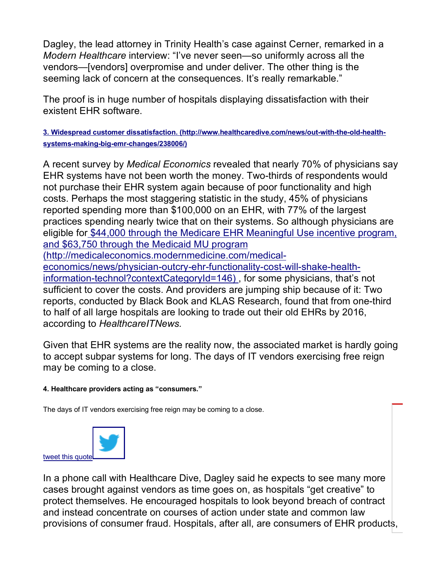Dagley, the lead attorney in Trinity Health's case against Cerner, remarked in a *Modern Healthcare* interview: "I've never seen—so uniformly across all the vendors—[vendors] overpromise and under deliver. The other thing is the seeming lack of concern at the consequences. It's really remarkable."

The proof is in huge number of hospitals displaying dissatisfaction with their existent EHR software.

**3. Widespread customer dissatisfaction. (http://www.healthcaredive.com/news/out-with-the-old-healthsystems-making-big-emr-changes/238006/)** 

A recent survey by *Medical Economics* revealed that nearly 70% of physicians say EHR systems have not been worth the money. Two-thirds of respondents would not purchase their EHR system again because of poor functionality and high costs. Perhaps the most staggering statistic in the study, 45% of physicians reported spending more than \$100,000 on an EHR, with 77% of the largest practices spending nearly twice that on their systems. So although physicians are eligible for \$44,000 through the Medicare EHR Meaningful Use incentive program, and \$63,750 through the Medicaid MU program (http://medicaleconomics.modernmedicine.com/medicaleconomics/news/physician-outcry-ehr-functionality-cost-will-shake-healthinformation-technol?contextCategoryId=146) , for some physicians, that's not sufficient to cover the costs. And providers are jumping ship because of it: Two reports, conducted by Black Book and KLAS Research, found that from one-third to half of all large hospitals are looking to trade out their old EHRs by 2016,

according to *HealthcareITNews.*

Given that EHR systems are the reality now, the associated market is hardly going to accept subpar systems for long. The days of IT vendors exercising free reign may be coming to a close.

## **4. Healthcare providers acting as "consumers."**

The days of IT vendors exercising free reign may be coming to a close.



In a phone call with Healthcare Dive, Dagley said he expects to see many more cases brought against vendors as time goes on, as hospitals "get creative" to protect themselves. He encouraged hospitals to look beyond breach of contract and instead concentrate on courses of action under state and common law provisions of consumer fraud. Hospitals, after all, are consumers of EHR products,